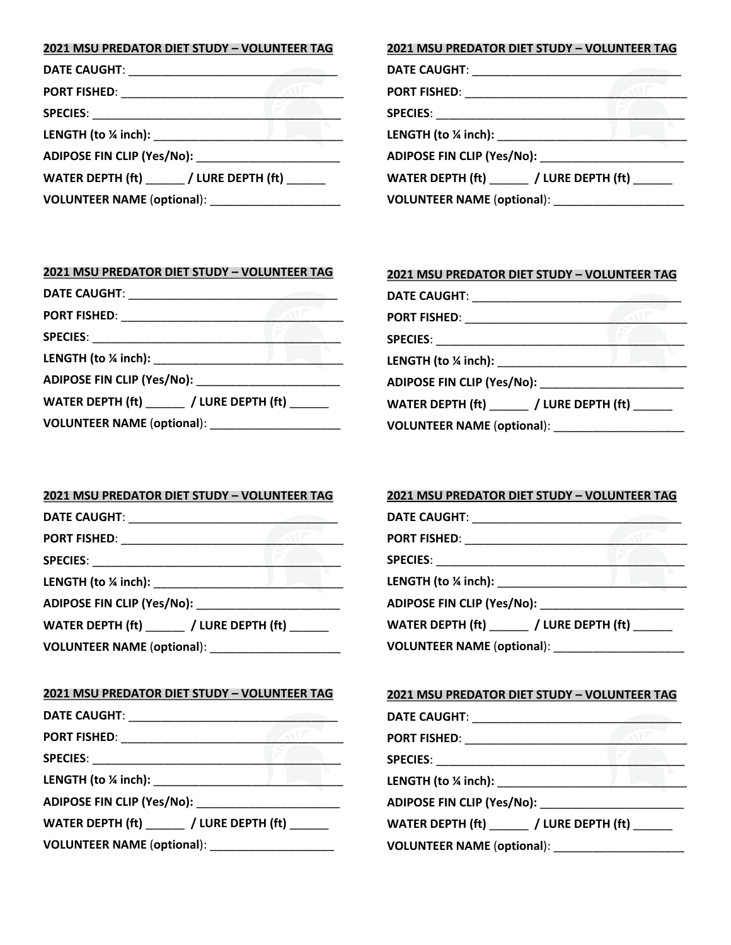#### **2021 MSU PREDATOR DIET STUDY – VOLUNTEER TAG**

| PORT FISHED: ____________________ |                                    |
|-----------------------------------|------------------------------------|
|                                   |                                    |
| LENGTH (to $\frac{1}{4}$ inch):   |                                    |
|                                   |                                    |
|                                   | WATER DEPTH (ft) / LURE DEPTH (ft) |
| <b>VOLUNTEER NAME (optional):</b> |                                    |

#### **2021 MSU PREDATOR DIET STUDY – VOLUNTEER TAG**

| Port Fished: _______________________                                                                           |  |
|----------------------------------------------------------------------------------------------------------------|--|
|                                                                                                                |  |
|                                                                                                                |  |
| ADIPOSE FIN CLIP (Yes/No): National Advisory of the Marian Section of the Maria Section of the Maria Section o |  |
| WATER DEPTH $(\text{ft})$ ________ / LURE DEPTH $(\text{ft})$ _______                                          |  |
|                                                                                                                |  |
|                                                                                                                |  |

# **2021 MSU PREDATOR DIET STUDY – VOLUNTEER TAG**

|                                   | WATER DEPTH (ft) / LURE DEPTH (ft) |
|-----------------------------------|------------------------------------|
| <b>VOLUNTEER NAME (optional):</b> |                                    |

# **2021 MSU PREDATOR DIET STUDY – VOLUNTEER TAG** DATE CAUGHT:

| <b>PORT FISHED:</b>                |
|------------------------------------|
|                                    |
| LENGTH (to $\frac{1}{4}$ inch):    |
| ADIPOSE FIN CLIP (Yes/No):         |
| WATER DEPTH (ft) / LURE DEPTH (ft) |
| <b>VOLUNTEER NAME (optional):</b>  |

#### **2021 MSU PREDATOR DIET STUDY – VOLUNTEER TAG**

| WATER DEPTH (ft) / LURE DEPTH (ft) |  |
|------------------------------------|--|
| <b>VOLUNTEER NAME (optional):</b>  |  |

#### **2021 MSU PREDATOR DIET STUDY – VOLUNTEER TAG**

| DATE CAUGHT: _________________________           |  |
|--------------------------------------------------|--|
|                                                  |  |
|                                                  |  |
|                                                  |  |
|                                                  |  |
| WATER DEPTH (ft) ______ / LURE DEPTH (ft) ______ |  |
| VOLUNTEER NAME (optional): ___________________   |  |

#### **2021 MSU PREDATOR DIET STUDY – VOLUNTEER TAG**

| DATE CAUGHT: ___________           |                                        |
|------------------------------------|----------------------------------------|
| PORT FISHED: Network               |                                        |
| SPECIES: _________________________ |                                        |
|                                    |                                        |
|                                    |                                        |
|                                    | WATER DEPTH $(dt)$ / LURE DEPTH $(dt)$ |
|                                    |                                        |

## **2021 MSU PREDATOR DIET STUDY – VOLUNTEER TAG**

| PORT FISHED: _______________________                 |  |
|------------------------------------------------------|--|
|                                                      |  |
|                                                      |  |
|                                                      |  |
| WATER DEPTH $\text{(ft)}$ / LURE DEPTH $\text{(ft)}$ |  |
|                                                      |  |